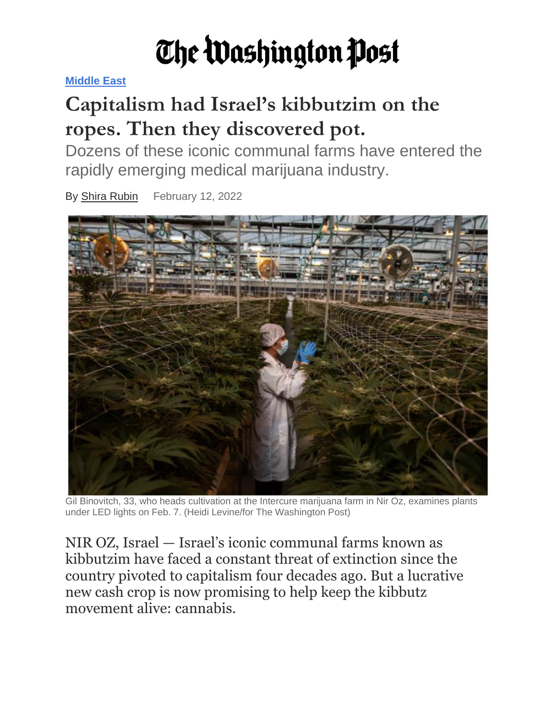## The Washington Post

**[Middle East](https://www.washingtonpost.com/world/middle-east/)**

## **Capitalism had Israel's kibbutzim on the ropes. Then they discovered pot.**

Dozens of these iconic communal farms have entered the rapidly emerging medical marijuana industry.

By Shira [Rubin](https://www.washingtonpost.com/people/shira-rubin/) February 12, 2022



Gil Binovitch, 33, who heads cultivation at the Intercure marijuana farm in Nir Oz, examines plants under LED lights on Feb. 7. (Heidi Levine/for The Washington Post)

NIR OZ, Israel — Israel's iconic communal farms known as kibbutzim have faced a constant threat of extinction since the country pivoted to capitalism four decades ago. But a lucrative new cash crop is now promising to help keep the kibbutz movement alive: cannabis.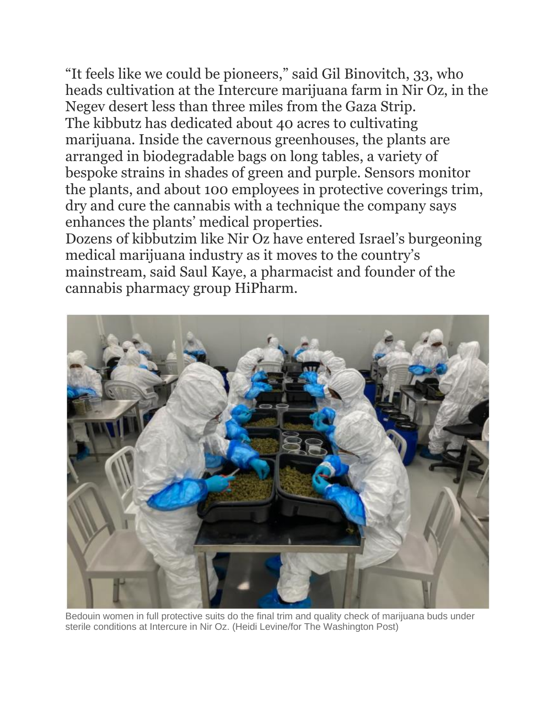"It feels like we could be pioneers," said Gil Binovitch, 33, who heads cultivation at the Intercure marijuana farm in Nir Oz, in the Negev desert less than three miles from the Gaza Strip. The kibbutz has dedicated about 40 acres to cultivating marijuana. Inside the cavernous greenhouses, the plants are arranged in biodegradable bags on long tables, a variety of bespoke strains in shades of green and purple. Sensors monitor the plants, and about 100 employees in protective coverings trim, dry and cure the cannabis with a technique the company says enhances the plants' medical properties.

Dozens of kibbutzim like Nir Oz have entered Israel's burgeoning medical marijuana industry as it moves to the country's mainstream, said Saul Kaye, a pharmacist and founder of the cannabis pharmacy group HiPharm.



Bedouin women in full protective suits do the final trim and quality check of marijuana buds under sterile conditions at Intercure in Nir Oz. (Heidi Levine/for The Washington Post)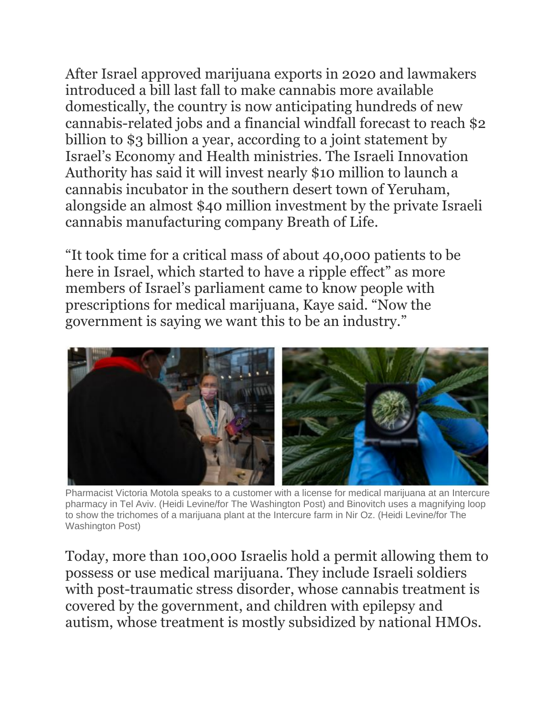After Israel approved marijuana exports in 2020 and lawmakers introduced a bill last fall to make cannabis more available domestically, the country is now anticipating hundreds of new cannabis-related jobs and a financial windfall forecast to reach \$2 billion to \$3 billion a year, according to a joint statement by Israel's Economy and Health ministries. The Israeli Innovation Authority has said it will invest nearly \$10 million to launch a cannabis incubator in the southern desert town of Yeruham, alongside an almost \$40 million investment by the private Israeli cannabis manufacturing company Breath of Life.

"It took time for a critical mass of about 40,000 patients to be here in Israel, which started to have a ripple effect" as more members of Israel's parliament came to know people with prescriptions for medical marijuana, Kaye said. "Now the government is saying we want this to be an industry."



Pharmacist Victoria Motola speaks to a customer with a license for medical marijuana at an Intercure pharmacy in Tel Aviv. (Heidi Levine/for The Washington Post) and Binovitch uses a magnifying loop to show the trichomes of a marijuana plant at the Intercure farm in Nir Oz. (Heidi Levine/for The Washington Post)

Today, more than 100,000 Israelis hold a permit allowing them to possess or use medical marijuana. They include Israeli soldiers with post-traumatic stress disorder, whose cannabis treatment is covered by the government, and children with epilepsy and autism, whose treatment is mostly subsidized by national HMOs.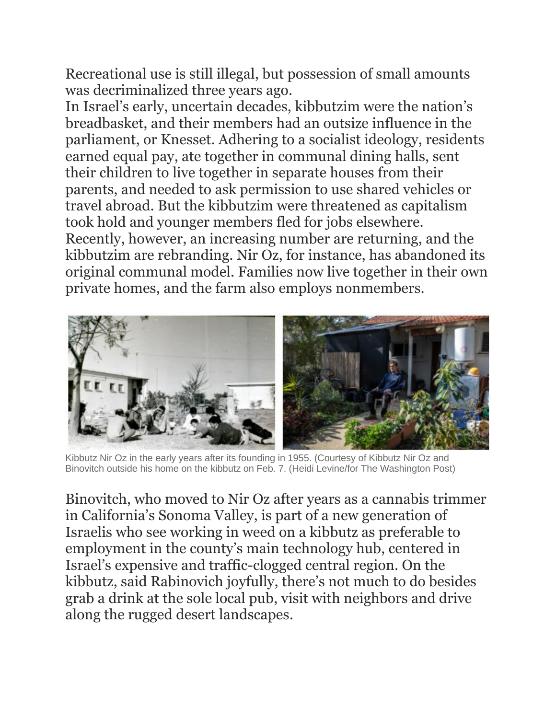Recreational use is still illegal, but possession of small amounts was decriminalized three years ago.

In Israel's early, uncertain decades, kibbutzim were the nation's breadbasket, and their members had an outsize influence in the parliament, or Knesset. Adhering to a socialist ideology, residents earned equal pay, ate together in communal dining halls, sent their children to live together in separate houses from their parents, and needed to ask permission to use shared vehicles or travel abroad. But the kibbutzim were threatened as capitalism took hold and younger members fled for jobs elsewhere. Recently, however, an increasing number are returning, and the

kibbutzim are rebranding. Nir Oz, for instance, has abandoned its original communal model. Families now live together in their own private homes, and the farm also employs nonmembers.



Kibbutz Nir Oz in the early years after its founding in 1955. (Courtesy of Kibbutz Nir Oz and Binovitch outside his home on the kibbutz on Feb. 7. (Heidi Levine/for The Washington Post)

Binovitch, who moved to Nir Oz after years as a cannabis trimmer in California's Sonoma Valley, is part of a new generation of Israelis who see working in weed on a kibbutz as preferable to employment in the county's main technology hub, centered in Israel's expensive and traffic-clogged central region. On the kibbutz, said Rabinovich joyfully, there's not much to do besides grab a drink at the sole local pub, visit with neighbors and drive along the rugged desert landscapes.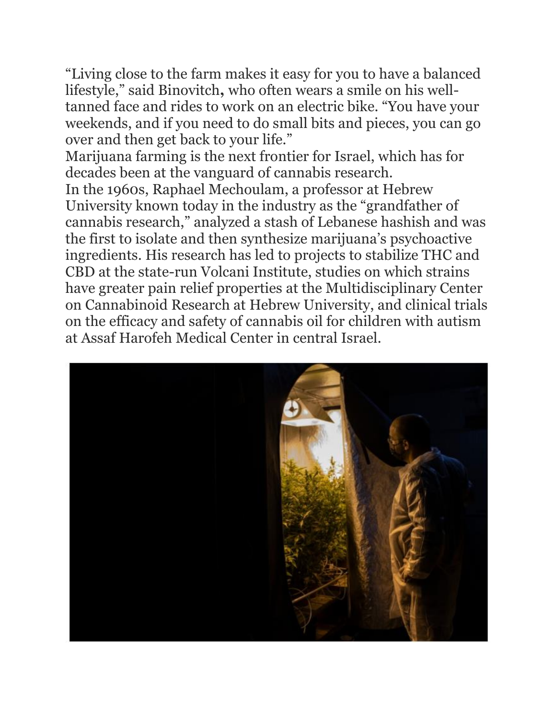"Living close to the farm makes it easy for you to have a balanced lifestyle," said Binovitch**,** who often wears a smile on his welltanned face and rides to work on an electric bike. "You have your weekends, and if you need to do small bits and pieces, you can go over and then get back to your life."

Marijuana farming is the next frontier for Israel, which has for decades been at the vanguard of cannabis research.

In the 1960s, Raphael Mechoulam, a professor at Hebrew University known today in the industry as the "grandfather of cannabis research," analyzed a stash of Lebanese hashish and was the first to isolate and then synthesize marijuana's psychoactive ingredients. His research has led to projects to stabilize THC and CBD at the state-run Volcani Institute, studies on which strains have greater pain relief properties at the Multidisciplinary Center on Cannabinoid Research at Hebrew University, and clinical trials on the efficacy and safety of cannabis oil for children with autism at Assaf Harofeh Medical Center in central Israel.